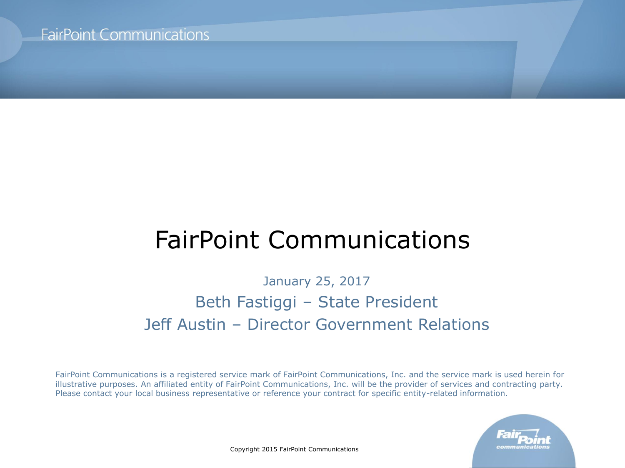# FairPoint Communications

January 25, 2017 Beth Fastiggi – State President Jeff Austin – Director Government Relations

FairPoint Communications is a registered service mark of FairPoint Communications, Inc. and the service mark is used herein for illustrative purposes. An affiliated entity of FairPoint Communications, Inc. will be the provider of services and contracting party. Please contact your local business representative or reference your contract for specific entity-related information.



Copyright 2015 FairPoint Communications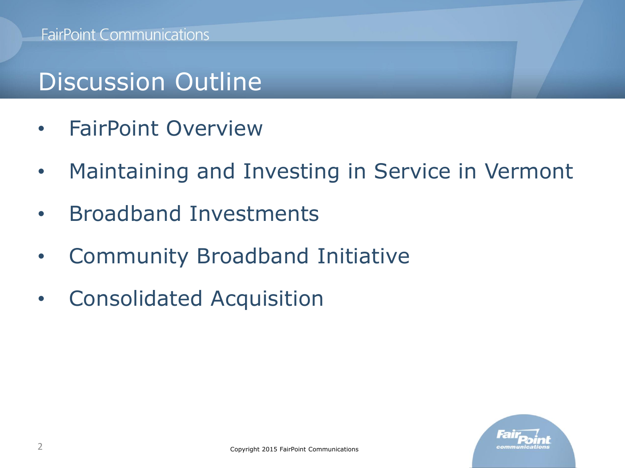# Discussion Outline

- FairPoint Overview
- Maintaining and Investing in Service in Vermont
- Broadband Investments
- Community Broadband Initiative
- Consolidated Acquisition

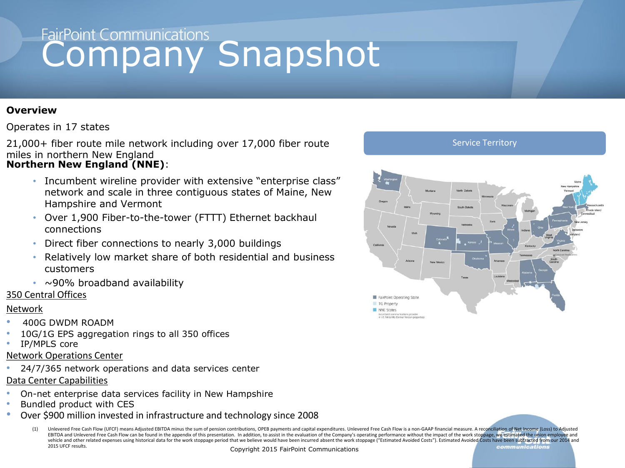# FairPoint Communications<br> **Company Snapshot**

#### **Overview**

#### Operates in 17 states

21,000+ fiber route mile network including over 17,000 fiber route miles in northern New England

#### **Northern New England (NNE)**:

- Incumbent wireline provider with extensive "enterprise class" network and scale in three contiguous states of Maine, New Hampshire and Vermont
- Over 1,900 Fiber-to-the-tower (FTTT) Ethernet backhaul connections
- Direct fiber connections to nearly 3,000 buildings
- Relatively low market share of both residential and business customers
- $\cdot$  ~90% broadband availability

#### 350 Central Offices

#### Network

- 400G DWDM ROADM
- 10G/1G EPS aggregation rings to all 350 offices
- IP/MPLS core

#### Network Operations Center

• 24/7/365 network operations and data services center

#### Data Center Capabilities

- On-net enterprise data services facility in New Hampshire
- Bundled product with CES
- Over \$900 million invested in infrastructure and technology since 2008
	- Unlevered Free Cash Flow (UFCF) means Adjusted EBITDA minus the sum of pension contributions, OPEB payments and capital expenditures. Unlevered Free Cash Flow is a non-GAAP financial measure. A reconciliation of Net Income EBITDA and Unlevered Free Cash Flow can be found in the appendix of this presentation. In addition, to assist in the evaluation of the Company's operating performance without the impact of the work stoppage, we estimated t vehicle and other related expenses using historical data for the work stoppage period that we believe would have been incurred absent the work stoppage ("Estimated Avoided Costs"). Estimated Avoided Costs have been subtrac 2015 UFCF results ommunications

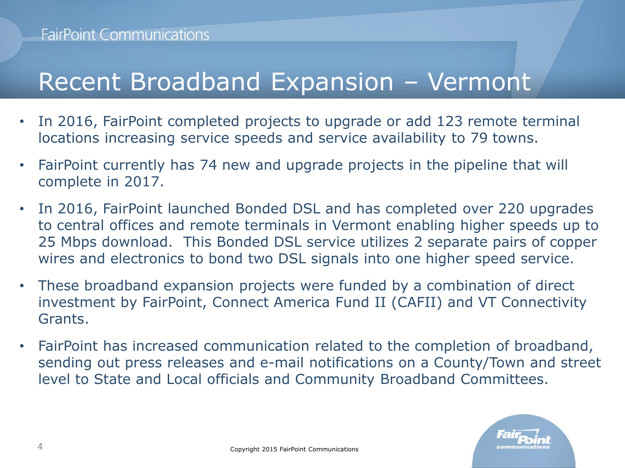# Recent Broadband Expansion – Vermont

- In 2016, FairPoint completed projects to upgrade or add 123 remote terminal locations increasing service speeds and service availability to 79 towns.
- FairPoint currently has 74 new and upgrade projects in the pipeline that will complete in 2017.
- In 2016, FairPoint launched Bonded DSL and has completed over 220 upgrades to central offices and remote terminals in Vermont enabling higher speeds up to 25 Mbps download. This Bonded DSL service utilizes 2 separate pairs of copper wires and electronics to bond two DSL signals into one higher speed service.
- These broadband expansion projects were funded by a combination of direct investment by FairPoint, Connect America Fund II (CAFII) and VT Connectivity Grants.
- FairPoint has increased communication related to the completion of broadband, sending out press releases and e-mail notifications on a County/Town and street level to State and Local officials and Community Broadband Committees.

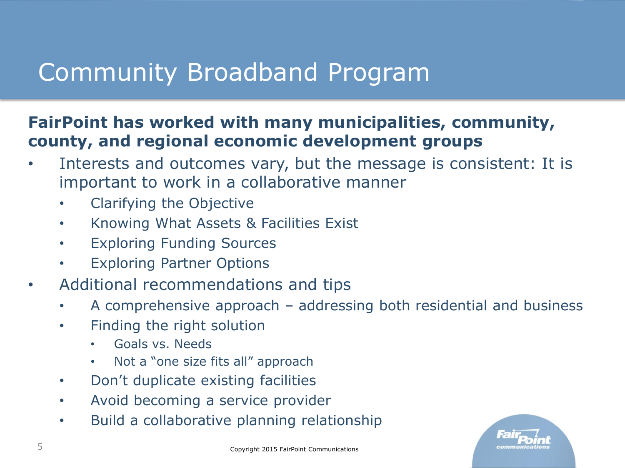# Community Broadband Program

### **FairPoint has worked with many municipalities, community, county, and regional economic development groups**

- Interests and outcomes vary, but the message is consistent: It is important to work in a collaborative manner
	- Clarifying the Objective
	- Knowing What Assets & Facilities Exist
	- Exploring Funding Sources
	- Exploring Partner Options
- Additional recommendations and tips
	- A comprehensive approach addressing both residential and business
	- Finding the right solution
		- Goals vs. Needs
		- Not a "one size fits all" approach
	- Don't duplicate existing facilities
	- Avoid becoming a service provider
	- Build a collaborative planning relationship

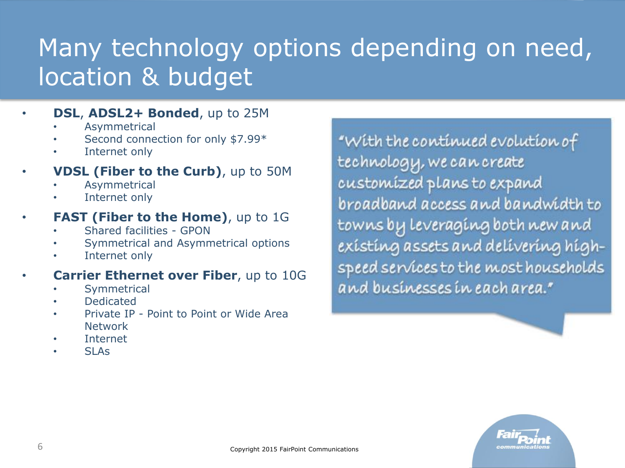# Many technology options depending on need, location & budget

### • **DSL**, **ADSL2+ Bonded**, up to 25M

- **Asymmetrical**
- Second connection for only \$7.99\*
- Internet only

### • **VDSL (Fiber to the Curb)**, up to 50M

- **Asymmetrical**
- Internet only

### **FAST (Fiber to the Home)**, up to 1G

- Shared facilities GPON
- Symmetrical and Asymmetrical options
- Internet only

### **Carrier Ethernet over Fiber**, up to 10G

- **Symmetrical**
- Dedicated
- Private IP Point to Point or Wide Area Network
- Internet
- SLA<sub>S</sub>

"With the continued evolution of technology, we can create customized plans to expand broadband access and bandwidth to towns by Leveraging both new and existing assets and delivering highspeed services to the most households and businesses in each area."

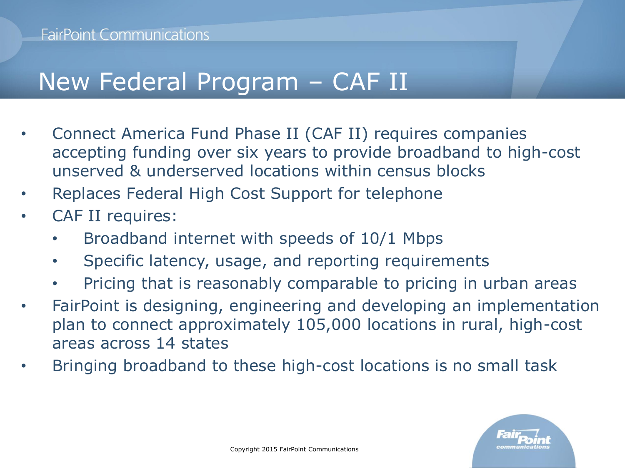# New Federal Program – CAF II

- Connect America Fund Phase II (CAF II) requires companies accepting funding over six years to provide broadband to high-cost unserved & underserved locations within census blocks
- Replaces Federal High Cost Support for telephone
- CAF II requires:
	- Broadband internet with speeds of 10/1 Mbps
	- Specific latency, usage, and reporting requirements
	- Pricing that is reasonably comparable to pricing in urban areas
- FairPoint is designing, engineering and developing an implementation plan to connect approximately 105,000 locations in rural, high-cost areas across 14 states
- Bringing broadband to these high-cost locations is no small task